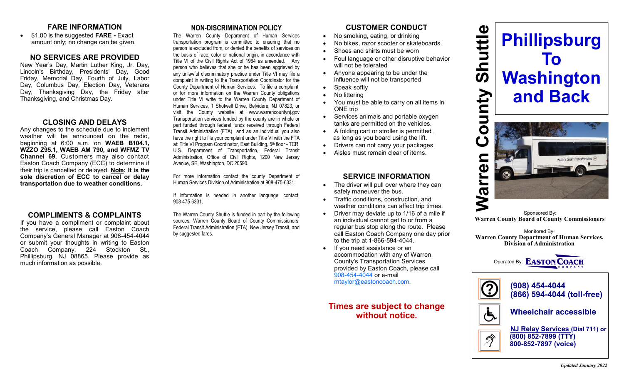### **FARE INFORMATION**

 \$1.00 is the suggested **FARE -** Exact amount only; no change can be given.

#### **NO SERVICES ARE PROVIDED**

New Year's Day, Martin Luther King, Jr. Day, Lincoln's Birthday, Presidents' Day, Good Friday, Memorial Day, Fourth of July, Labor Day, Columbus Day, Election Day, Veterans Day, Thanksgiving Day, the Friday after Thanksgiving, and Christmas Day.

#### **CLOSING AND DELAYS**

Any changes to the schedule due to inclement weather will be announced on the radio, beginning at 6:00 a.m. on **WAEB B104.1, WZZO Z95.1, WAEB AM 790, and WFMZ TV Channel 69.** Customers may also contact Easton Coach Company (ECC) to determine if their trip is cancelled or delayed. **Note: It is the sole discretion of ECC to cancel or delay transportation due to weather conditions.**

### **COMPLIMENTS & COMPLAINTS**

If you have a compliment or complaint about the service, please call Easton Coach Company's General Manager at 908-454-4044 or submit your thoughts in writing to Easton Coach Company, 224 Stockton St., Phillipsburg, NJ 08865. Please provide as much information as possible.

## **NON-DISCRIMINATION POLICY**

The Warren County Department of Human Services transportation program is committed to ensuring that no person is excluded from, or denied the benefits of services on the basis of race, color or national origin, in accordance with Title VI of the Civil Rights Act of 1964 as amended. Any person who believes that she or he has been aggrieved by any unlawful discriminatory practice under Title VI may file a complaint in writing to the Transportation Coordinator for the County Department of Human Services. To file a complaint, or for more information on the Warren County obligations under Title VI write to the Warren County Department of Human Services, 1 Shotwell Drive, Belvidere, NJ 07823, or visit the County website at www.warrencountynj.gov Transportation services funded by the county are in whole or part funded through federal funds received through Federal Transit Administration (FTA) and as an individual you also have the right to file your complaint under Title VI with the FTA at: Title VI Program Coordinator, East Building, 5th floor - TCR, U.S. Department of Transportation, Federal Transit Administration, Office of Civil Rights, 1200 New Jersey Avenue, SE, Washington, DC 20590.

For more information contact the county Department of Human Services Division of Administration at 908-475-6331.

If information is needed in another language, contact: 908-475-6331.

The Warren County Shuttle is funded in part by the following sources: Warren County Board of County Commissioners, Federal Transit Administration (FTA), New Jersey Transit, and by suggested fares.

# **CUSTOMER CONDUCT**

- No smoking, eating, or drinking
- No bikes, razor scooter or skateboards.
- Shoes and shirts must be worn
- Foul language or other disruptive behavior will not be tolerated
- Anyone appearing to be under the influence will not be transported
- Speak softly
- No littering
- You must be able to carry on all items in ONE trip
- Services animals and portable oxygen tanks are permitted on the vehicles.
- A folding cart or stroller is permitted , as long as you board using the lift.
- Drivers can not carry your packages.
- Aisles must remain clear of items.

## **SERVICE INFORMATION**

- The driver will pull over where they can safely maneuver the bus.
- Traffic conditions, construction, and weather conditions can affect trip times.
- Driver may deviate up to 1/16 of a mile if an individual cannot get to or from a regular bus stop along the route. Please call Easton Coach Company one day prior to the trip at 1-866-594-4044.
- If you need assistance or an accommodation with any of Warren County's Transportation Services provided by Easton Coach, please call 908-454-4044 or e-mail mtaylor@eastoncoach.com.

# **Times are subject to change without notice.**





Sponsored By:<br>Warren County Board of County Commissioners

Monitored By: **Warren County Department of Human Services, Division of Administration**





 **NJ Relay Services (Dial 711) or (800) 852-7899 (TTY) 800-852-7897 (voice)**